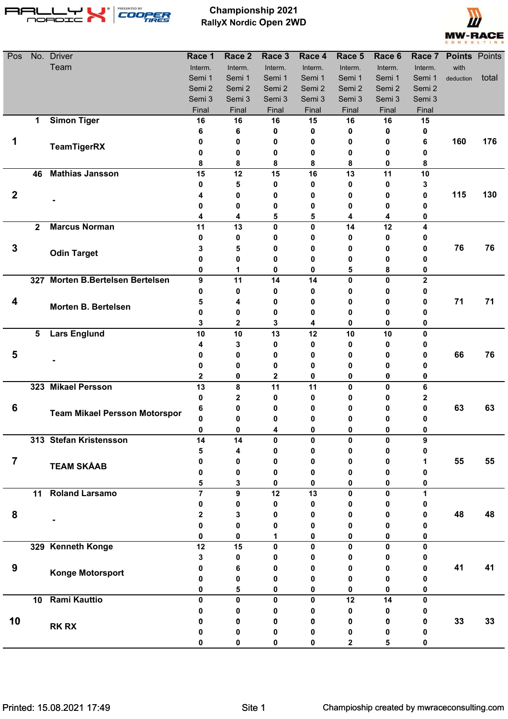

**Championship 2021 RallyX Nordic Open 2WD**



| Pos            |                         | No. Driver                           | Race 1            | Race 2            | Race 3       | Race 4      | Race 5       | Race 6       | Race 7       | <b>Points Points</b> |       |
|----------------|-------------------------|--------------------------------------|-------------------|-------------------|--------------|-------------|--------------|--------------|--------------|----------------------|-------|
|                |                         | Team                                 | Interm.           | Interm.           | Interm.      | Interm.     | Interm.      | Interm.      | Interm.      | with                 |       |
|                |                         |                                      | Semi 1            | Semi 1            | Semi 1       | Semi 1      | Semi 1       | Semi 1       | Semi 1       | deduction            | total |
|                |                         |                                      | Semi 2            | Semi 2            | Semi 2       | Semi 2      | Semi 2       | Semi 2       | Semi 2       |                      |       |
|                |                         |                                      | Semi 3            | Semi 3            | Semi 3       | Semi 3      | Semi 3       | Semi 3       | Semi 3       |                      |       |
|                |                         |                                      | Final             | Final             | Final        | Final       | Final        | Final        | Final        |                      |       |
|                | 1                       | <b>Simon Tiger</b>                   | 16                | 16                | 16           | 15          | 16           | 16           | 15           |                      |       |
|                |                         |                                      | 6                 | 6                 | 0            | 0           | 0            | 0            | 0            |                      |       |
|                |                         | <b>TeamTigerRX</b>                   | 0                 | 0                 | 0            | 0           | 0            | 0            | 6            | 160                  | 176   |
|                |                         |                                      | 0                 | 0                 | 0            | 0           | 0            | 0            | 0            |                      |       |
|                | 46                      | <b>Mathias Jansson</b>               | 8<br>15           | 8<br>12           | 8<br>15      | 8<br>16     | 8<br>13      | 0<br>11      | 8<br>10      |                      |       |
|                |                         |                                      | 0                 | 5                 | 0            | 0           | $\bf{0}$     | $\mathbf 0$  | 3            |                      |       |
| $\mathbf{2}$   |                         |                                      | 4                 | 0                 | 0            | 0           | 0            | 0            | 0            | 115                  | 130   |
|                |                         |                                      | 0                 | 0                 | 0            | 0           | 0            | 0            | 0            |                      |       |
|                |                         |                                      | 4                 | 4                 | 5            | 5           | 4            | 4            | 0            |                      |       |
|                | $\overline{\mathbf{2}}$ | <b>Marcus Norman</b>                 | 11                | 13                | 0            | $\mathbf 0$ | 14           | 12           | 4            |                      |       |
|                |                         |                                      | 0                 | 0                 | o            | 0           | 0            | 0            |              |                      |       |
| $\mathbf 3$    |                         |                                      | 3                 | 5                 | Ω            | 0           | 0            | 0            | o            | 76                   | 76    |
|                |                         | <b>Odin Target</b>                   | 0                 | 0                 | Ω            | 0           | 0            | 0            |              |                      |       |
|                |                         |                                      | 0                 | 1                 | 0            | 0           | 5            | 8            | 0            |                      |       |
|                |                         | 327 Morten B.Bertelsen Bertelsen     | 9                 | 11                | 14           | 14          | $\mathbf{0}$ | $\mathbf{0}$ | $\mathbf{2}$ |                      |       |
|                |                         |                                      | 0                 | 0                 | 0            | 0           | 0            | 0            | 0            |                      |       |
| 4              |                         | Morten B. Bertelsen                  | 5                 | 4                 | 0            | 0           | 0            | 0            | 0            | 71                   | 71    |
|                |                         |                                      | 0                 | 0                 | 0            | 0           | 0            | 0            | Ω            |                      |       |
|                |                         |                                      | 3                 | $\mathbf 2$       | 3            | 4           | 0            | $\mathbf 0$  | 0            |                      |       |
|                | 5                       | <b>Lars Englund</b>                  | 10                | 10                | 13           | 12          | 10           | 10           | $\bf{0}$     |                      |       |
|                |                         |                                      | 4                 | 3                 | 0            | 0           | 0            | 0            | 0            |                      |       |
| 5              |                         |                                      | 0                 | 0                 | 0            | 0           | 0            | 0            | 0            | 66                   | 76    |
|                |                         |                                      | 0                 | 0                 | 0            | 0           | 0            | 0            | o            |                      |       |
|                |                         |                                      | 2                 | 0                 | $\mathbf 2$  | 0           | $\bf{0}$     | 0            | 0            |                      |       |
|                |                         | 323 Mikael Persson                   | 13                | 8                 | 11           | 11          | 0            | $\mathbf{0}$ | 6            |                      |       |
|                |                         |                                      | $\bf{0}$          | $\mathbf{2}$      | 0            | 0           | 0            | 0            | 2            |                      |       |
| 6              |                         | <b>Team Mikael Persson Motorspor</b> | 6                 | 0                 | Ω            | 0           | 0            | 0            | 0            | 63                   | 63    |
|                |                         |                                      | 0<br>$\mathbf{0}$ | 0<br>$\mathbf{0}$ | 0            | 0<br>0      | 0<br>n       | 0<br>O       | 0<br>n       |                      |       |
|                |                         | 313 Stefan Kristensson               | 14                | 14                | $\mathbf{0}$ | $\mathbf 0$ | 0            | 0            | 9            |                      |       |
|                |                         |                                      | 5                 | 4                 | 0            | 0           | 0            | 0            | 0            |                      |       |
| $\overline{7}$ |                         |                                      | 0                 | 0                 | 0            | 0           | 0            | 0            | 1            | 55                   | 55    |
|                |                         | <b>TEAM SKÅAB</b>                    | 0                 | 0                 | 0            | 0           | 0            | 0            | 0            |                      |       |
|                |                         |                                      | 5                 | 3                 | 0            | 0           | 0            | 0            | 0            |                      |       |
|                | 11                      | <b>Roland Larsamo</b>                | $\overline{7}$    | 9                 | 12           | 13          | $\mathbf{0}$ | 0            | 1            |                      |       |
|                |                         |                                      | 0                 | 0                 | 0            | 0           | 0            | 0            | 0            |                      |       |
| 8              |                         |                                      | 2                 | 3                 | 0            | 0           | 0            | 0            | 0            | 48                   | 48    |
|                |                         |                                      | U                 | 0                 | 0            | 0           | 0            | 0            |              |                      |       |
|                |                         |                                      | 0                 | 0                 | 1            | 0           | 0            | 0            | 0            |                      |       |
|                |                         | 329 Kenneth Konge                    | 12                | 15                | 0            | $\pmb{0}$   | $\mathbf{0}$ | 0            | $\mathbf{0}$ |                      |       |
|                |                         |                                      | 3                 | 0                 | U            | 0           | 0            | 0            | 0            |                      |       |
| 9              |                         | Konge Motorsport                     | 0                 | 6                 | Ω            | 0           | 0            | 0            | Ω            | 41                   | 41    |
|                |                         |                                      | 0                 | 0                 | 0            | 0           | 0            | 0            | Ω            |                      |       |
|                |                         |                                      | 0                 | 5                 | 0            | 0           | 0            | 0            | 0            |                      |       |
|                | 10                      | <b>Rami Kauttio</b>                  | 0                 | 0                 | $\bf{0}$     | 0           | 12           | 14           | 0            |                      |       |
|                |                         |                                      | 0                 | 0                 | 0            | 0           | 0            | 0            | 0            |                      |       |
| 10             |                         | <b>RK RX</b>                         | 0                 | 0                 | 0            | 0           | 0            | 0            | 0            | 33                   | 33    |
|                |                         |                                      | 0                 | 0                 | 0            | 0           | 0            | 0            | 0            |                      |       |
|                |                         |                                      |                   | 0                 |              | 0           | 2            | 5            |              |                      |       |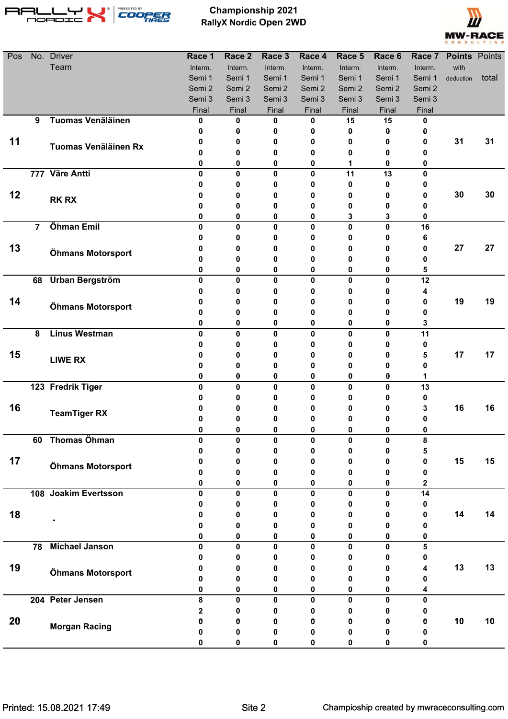

**Championship 2021 RallyX Nordic Open 2WD**



| Pos |                | No. Driver               | Race 1  | Race 2       | Race 3           | Race 4                  | Race 5      | Race 6  |         | Race 7 Points Points |       |
|-----|----------------|--------------------------|---------|--------------|------------------|-------------------------|-------------|---------|---------|----------------------|-------|
|     |                | Team                     | Interm. | Interm.      | Interm.          | Interm.                 | Interm.     | Interm. | Interm. | with                 |       |
|     |                |                          | Semi 1  | Semi 1       | Semi 1           | Semi 1                  | Semi 1      | Semi 1  | Semi 1  | deduction            | total |
|     |                |                          | Semi 2  | Semi 2       | Semi 2           | Semi 2                  | Semi 2      | Semi 2  | Semi 2  |                      |       |
|     |                |                          | Semi 3  | Semi 3       | Semi 3           | Semi 3                  | Semi 3      | Semi 3  | Semi 3  |                      |       |
|     |                |                          | Final   | Final        | Final            | Final                   | Final       | Final   | Final   |                      |       |
|     | 9              | <b>Tuomas Venäläinen</b> | 0       | 0            | 0                | 0                       | 15          | 15      | 0       |                      |       |
|     |                |                          | Ω       | 0            | 0                | 0                       | 0           | 0       | 0       | 31                   | 31    |
| 11  |                | Tuomas Venäläinen Rx     | 0<br>0  | 0<br>0       | 0<br>0           | 0<br>0                  | 0<br>0      | 0       | 0<br>0  |                      |       |
|     |                |                          | 0       | 0            | 0                | 0                       | 1           | 0<br>0  | 0       |                      |       |
|     |                | 777 Väre Antti           | 0       | $\mathbf{0}$ | 0                | $\mathbf{0}$            | 11          | 13      | 0       |                      |       |
|     |                |                          |         | 0            | 0                | 0                       | 0           | 0       | 0       |                      |       |
| 12  |                |                          | 0       | 0            | 0                | 0                       | 0           | 0       | 0       | 30                   | 30    |
|     |                | <b>RK RX</b>             |         | 0            | 0                | 0                       | 0           | 0       | 0       |                      |       |
|     |                |                          | 0       | 0            | 0                | 0                       | 3           | 3       | 0       |                      |       |
|     | $\overline{7}$ | Öhman Emil               | 0       | $\mathbf{0}$ | $\mathbf 0$      | 0                       | 0           | 0       | 16      |                      |       |
|     |                |                          | 0       | 0            | 0                | 0                       | 0           | 0       | 6       |                      |       |
| 13  |                | Öhmans Motorsport        | n       | 0            | 0                | 0                       | 0           | 0       | 0       | 27                   | 27    |
|     |                |                          | 0       | 0            | 0                | 0                       | 0           | 0       | 0       |                      |       |
|     |                |                          | 0       | 0            | 0                | 0                       | 0           | 0       | 5       |                      |       |
|     |                | 68 Urban Bergström       | 0       | 0            | $\mathbf 0$      | $\mathbf 0$             | $\mathbf 0$ | 0       | 12      |                      |       |
|     |                |                          | 0       | 0            | 0                | 0                       | 0           | 0       | 4       |                      |       |
| 14  |                | Öhmans Motorsport        | 0       | 0            | 0                | 0                       | 0           | 0       | 0       | 19                   | 19    |
|     |                |                          | 0       | 0            | 0                | 0                       | 0           | 0       | 0       |                      |       |
|     |                |                          | 0       | 0            | 0                | 0                       | 0           | 0       | 3       |                      |       |
|     | 8              | <b>Linus Westman</b>     | 0       | 0            | 0                | 0                       | 0           | 0       | 11      |                      |       |
|     |                |                          | 0       | 0            | 0                | 0                       | 0           | 0       | 0       |                      |       |
| 15  |                | <b>LIWE RX</b>           | 0       | 0            | 0                | 0                       | 0           | 0       | 5       | 17                   | 17    |
|     |                |                          | 0       | 0            | 0                | 0                       | 0           | 0       | 0       |                      |       |
|     |                | 123 Fredrik Tiger        | 0<br>0  | 0<br>0       | 0<br>$\mathbf 0$ | $\bf{0}$<br>$\mathbf 0$ | 0<br>0      | 0<br>0  | 1<br>13 |                      |       |
|     |                |                          |         | 0            | 0                | 0                       | O           | 0       | 0       |                      |       |
| 16  |                |                          |         | 0            | 0                |                         | o           | 0       | 3       | 16                   | 16    |
|     |                | <b>TeamTiger RX</b>      | 0       | 0            | 0                | o                       | 0           | 0       | 0       |                      |       |
|     |                |                          | U       | 0            | U                | n                       |             | 0       | 0       |                      |       |
|     | 60             | <b>Thomas Öhman</b>      | 0       | 0            | 0                | 0                       | 0           | 0       | 8       |                      |       |
|     |                |                          |         | 0            | 0                | 0                       | 0           | 0       | 5       |                      |       |
| 17  |                |                          |         | 0            | 0                | 0                       | 0           | 0       | 0       | 15                   | 15    |
|     |                | Öhmans Motorsport        | Ω       | 0            | 0                | 0                       | Λ           | 0       | 0       |                      |       |
|     |                |                          | 0       | 0            | 0                | 0                       | 0           | 0       | 2       |                      |       |
|     |                | 108 Joakim Evertsson     | 0       | 0            | $\mathbf 0$      | $\mathbf 0$             | 0           | 0       | 14      |                      |       |
|     |                |                          | 0       | 0            | 0                | 0                       | 0           | 0       | 0       |                      |       |
| 18  |                |                          | 0       | 0            | 0                | 0                       | 0           | 0       | 0       | 14                   | 14    |
|     |                |                          | 0       | 0            | 0                | 0                       | 0           | 0       | 0       |                      |       |
|     |                |                          | 0       | 0            | 0                | 0                       | 0           | 0       | 0       |                      |       |
|     | 78             | <b>Michael Janson</b>    | 0       | 0            | 0                | 0                       | 0           | 0       | 5       |                      |       |
|     |                |                          | 0       | 0            | 0                | 0                       | 0           | 0       | 0       |                      |       |
| 19  |                | Öhmans Motorsport        | 0       | 0            | 0                | 0                       | 0           | 0       | 4       | 13                   | 13    |
|     |                |                          | 0       | 0            | 0                | 0                       | 0           | 0       | 0       |                      |       |
|     |                | 204 Peter Jensen         | 0<br>8  | 0<br>0       | 0<br>0           | 0<br>0                  | 0<br>0      | 0<br>0  | 4<br>0  |                      |       |
| 20  |                |                          | 2       | 0            | 0                | 0                       | 0           | 0       | 0       |                      |       |
|     |                |                          | 0       | 0            | 0                | 0                       | 0           | 0       | 0       | 10                   | 10    |
|     |                | <b>Morgan Racing</b>     | 0       | 0            | 0                | 0                       | 0           | 0       | 0       |                      |       |
|     |                |                          | 0       | 0            | 0                | 0                       | 0           | 0       | 0       |                      |       |
|     |                |                          |         |              |                  |                         |             |         |         |                      |       |